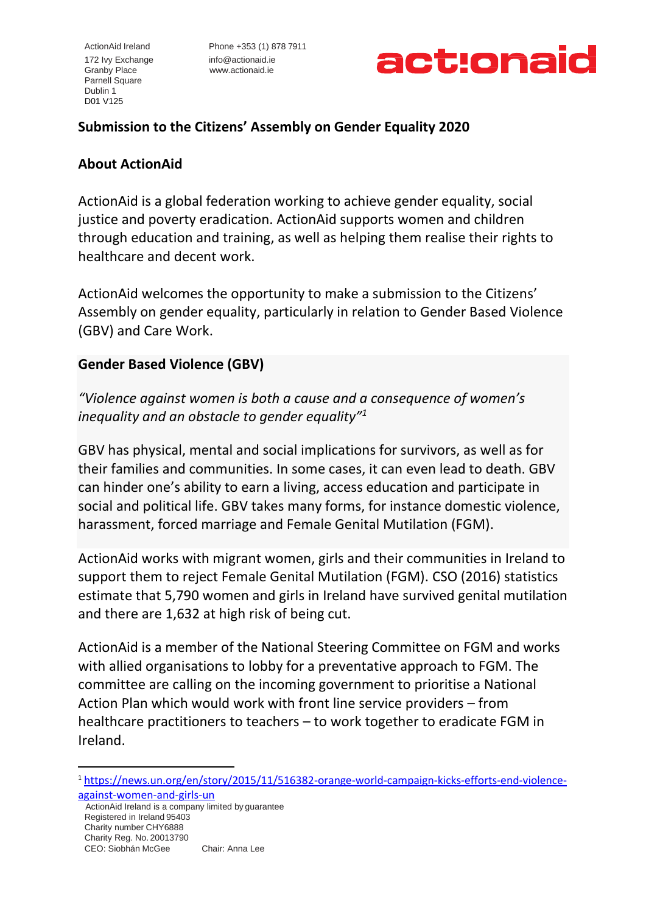172 Ivy Exchange [info@actionaid.ie](mailto:info@actionaid.ie) Granby Place www.actionaid.ie Parnell Square Dublin 1 D01 V125

ActionAid Ireland Phone +353 (1) 878 7911



# **Submission to the Citizens' Assembly on Gender Equality 2020**

### **About ActionAid**

ActionAid is a global federation working to achieve gender equality, social justice and poverty eradication. ActionAid supports women and children through education and training, as well as helping them realise their rights to healthcare and decent work.

ActionAid welcomes the opportunity to make a submission to the Citizens' Assembly on gender equality, particularly in relation to Gender Based Violence (GBV) and Care Work.

## **Gender Based Violence (GBV)**

*"Violence against women is both a cause and a consequence of women's inequality and an obstacle to gender equality"<sup>1</sup>*

GBV has physical, mental and social implications for survivors, as well as for their families and communities. In some cases, it can even lead to death. GBV can hinder one's ability to earn a living, access education and participate in social and political life. GBV takes many forms, for instance domestic violence, harassment, forced marriage and Female Genital Mutilation (FGM).

ActionAid works with migrant women, girls and their communities in Ireland to support them to reject Female Genital Mutilation (FGM). CSO (2016) statistics estimate that 5,790 women and girls in Ireland have survived genital mutilation and there are 1,632 at high risk of being cut.

ActionAid is a member of the National Steering Committee on FGM and works with allied organisations to lobby for a preventative approach to FGM. The committee are calling on the incoming government to prioritise a National Action Plan which would work with front line service providers – from healthcare practitioners to teachers – to work together to eradicate FGM in Ireland.

 ActionAid Ireland is a company limited by guarantee Registered in Ireland 95403 Charity number CHY6888 Charity Reg. No. 20013790 CEO: Siobhán McGee Chair: Anna Lee

<sup>1</sup> [https://news.un.org/en/story/2015/11/516382-orange-world-campaign-kicks-efforts-end-violence](https://news.un.org/en/story/2015/11/516382-orange-world-campaign-kicks-efforts-end-violence-against-women-and-girls-un)[against-women-and-girls-un](https://news.un.org/en/story/2015/11/516382-orange-world-campaign-kicks-efforts-end-violence-against-women-and-girls-un)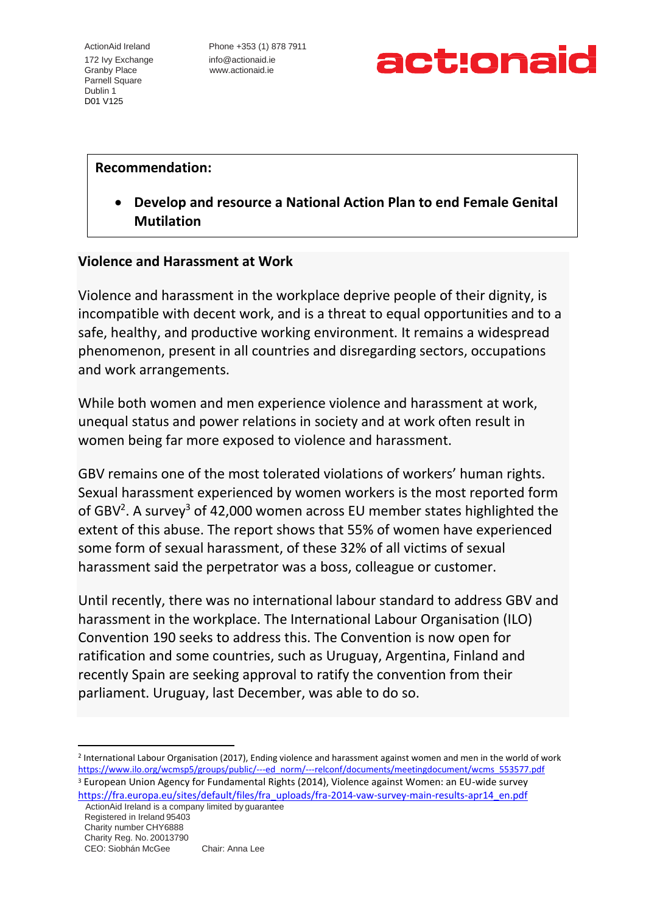172 Ivy Exchange [info@actionaid.ie](mailto:info@actionaid.ie) Granby Place www.actionaid.ie Parnell Square Dublin 1 D01 V125

ActionAid Ireland Phone +353 (1) 878 7911



#### **Recommendation:**

• **Develop and resource a National Action Plan to end Female Genital Mutilation** 

#### **Violence and Harassment at Work**

Violence and harassment in the workplace deprive people of their dignity, is incompatible with decent work, and is a threat to equal opportunities and to a safe, healthy, and productive working environment. It remains a widespread phenomenon, present in all countries and disregarding sectors, occupations and work arrangements.

While both women and men experience violence and harassment at work, unequal status and power relations in society and at work often result in women being far more exposed to violence and harassment.

GBV remains one of the most tolerated violations of workers' human rights. Sexual harassment experienced by women workers is the most reported form of GBV<sup>2</sup>. A survey<sup>3</sup> of 42,000 women across EU member states highlighted the extent of this abuse. The report shows that 55% of women have experienced some form of sexual harassment, of these 32% of all victims of sexual harassment said the perpetrator was a boss, colleague or customer.

Until recently, there was no international labour standard to address GBV and harassment in the workplace. The International Labour Organisation (ILO) Convention 190 seeks to address this. The Convention is now open for ratification and some countries, such as Uruguay, Argentina, Finland and recently Spain are seeking approval to ratify the convention from their parliament. Uruguay, last December, was able to do so.

2 International Labour Organisation (2017), Ending violence and harassment against women and men in the world of work [https://www.ilo.org/wcmsp5/groups/public/---ed\\_norm/---relconf/documents/meetingdocument/wcms\\_553577.pdf](https://www.ilo.org/wcmsp5/groups/public/---ed_norm/---relconf/documents/meetingdocument/wcms_553577.pdf) <sup>3</sup> European Union Agency for Fundamental Rights (2014), Violence against Women: an EU-wide survey [https://fra.europa.eu/sites/default/files/fra\\_uploads/fra-2014-vaw-survey-main-results-apr14\\_en.pdf](https://fra.europa.eu/sites/default/files/fra_uploads/fra-2014-vaw-survey-main-results-apr14_en.pdf)

 ActionAid Ireland is a company limited by guarantee Registered in Ireland 95403 Charity number CHY6888 Charity Reg. No. 20013790 CEO: Siobhán McGee Chair: Anna Lee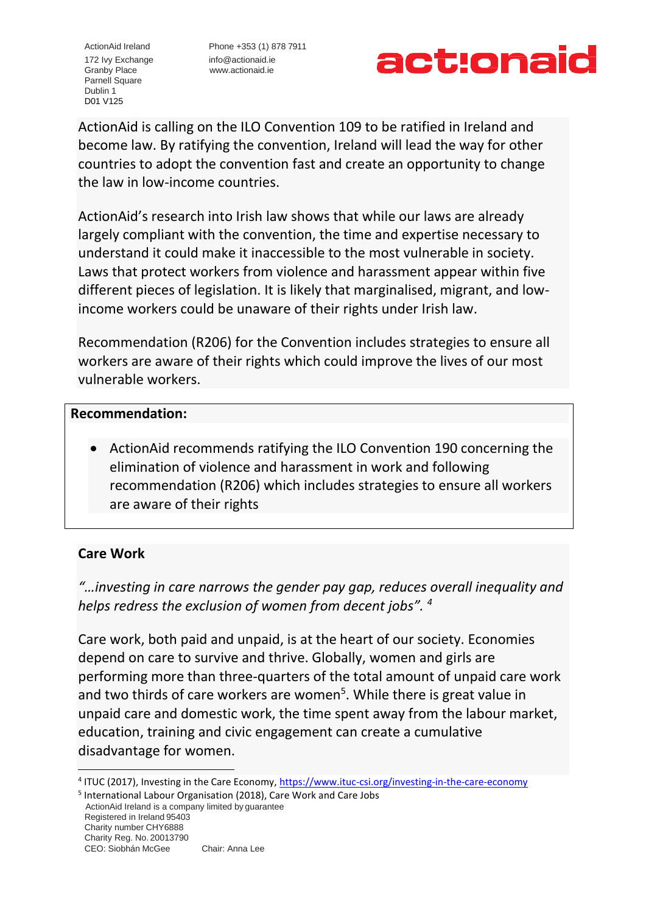172 Ivy Exchange [info@actionaid.ie](mailto:info@actionaid.ie) Granby Place www.actionaid.ie Parnell Square Dublin 1 D01 V125

ActionAid Ireland Phone +353 (1) 878 7911



ActionAid is calling on the ILO Convention 109 to be ratified in Ireland and become law. By ratifying the convention, Ireland will lead the way for other countries to adopt the convention fast and create an opportunity to change the law in low-income countries.

ActionAid's research into Irish law shows that while our laws are already largely compliant with the convention, the time and expertise necessary to understand it could make it inaccessible to the most vulnerable in society. Laws that protect workers from violence and harassment appear within five different pieces of legislation. It is likely that marginalised, migrant, and lowincome workers could be unaware of their rights under Irish law.

Recommendation (R206) for the Convention includes strategies to ensure all workers are aware of their rights which could improve the lives of our most vulnerable workers.

#### **Recommendation:**

• ActionAid recommends ratifying the ILO Convention 190 concerning the elimination of violence and harassment in work and following recommendation (R206) which includes strategies to ensure all workers are aware of their rights

## **Care Work**

*"…investing in care narrows the gender pay gap, reduces overall inequality and helps redress the exclusion of women from decent jobs". <sup>4</sup>*

Care work, both paid and unpaid, is at the heart of our society. Economies depend on care to survive and thrive. Globally, women and girls are performing more than three-quarters of the total amount of unpaid care work and two thirds of care workers are women<sup>5</sup>. While there is great value in unpaid care and domestic work, the time spent away from the labour market, education, training and civic engagement can create a cumulative disadvantage for women.

<sup>&</sup>lt;sup>4</sup> ITUC (2017), Investing in the Care Economy,<https://www.ituc-csi.org/investing-in-the-care-economy>

ActionAid Ireland is a company limited by guarantee Registered in Ireland 95403 Charity number CHY6888 Charity Reg. No. 20013790 CEO: Siobhán McGee Chair: Anna Lee 5 International Labour Organisation (2018), Care Work and Care Jobs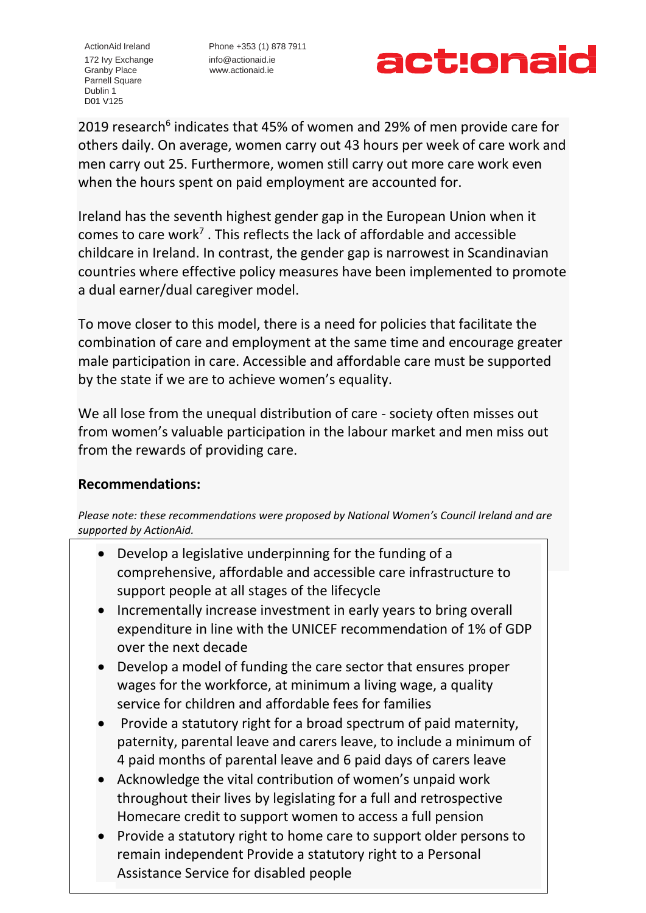Granby Place www.actionaid.ie Parnell Square Dublin 1 D01 V125

ActionAid Ireland Phone +353 (1) 878 7911 172 Ivy Exchange [info@actionaid.ie](mailto:info@actionaid.ie)



2019 research<sup>6</sup> indicates that 45% of women and 29% of men provide care for others daily. On average, women carry out 43 hours per week of care work and men carry out 25. Furthermore, women still carry out more care work even when the hours spent on paid employment are accounted for.

Ireland has the seventh highest gender gap in the European Union when it comes to care work<sup>7</sup>. This reflects the lack of affordable and accessible childcare in Ireland. In contrast, the gender gap is narrowest in Scandinavian countries where effective policy measures have been implemented to promote a dual earner/dual caregiver model.

To move closer to this model, there is a need for policies that facilitate the combination of care and employment at the same time and encourage greater male participation in care. Accessible and affordable care must be supported by the state if we are to achieve women's equality.

We all lose from the unequal distribution of care - society often misses out from women's valuable participation in the labour market and men miss out from the rewards of providing care.

## **Recommendations:**

*Please note: these recommendations were proposed by National Women's Council Ireland and are supported by ActionAid.* 

- Develop a legislative underpinning for the funding of a comprehensive, affordable and accessible care infrastructure to support people at all stages of the lifecycle
- Incrementally increase investment in early years to bring overall expenditure in line with the UNICEF recommendation of 1% of GDP over the next decade
- Develop a model of funding the care sector that ensures proper wages for the workforce, at minimum a living wage, a quality service for children and affordable fees for families
- 4 paid months of parental leave and 6 paid days of carers leave • Provide a statutory right for a broad spectrum of paid maternity, paternity, parental leave and carers leave, to include a minimum of
- $\overline{\phantom{a}}$ Homecare credit to support women to access a full pension • Acknowledge the vital contribution of women's unpaid work throughout their lives by legislating for a full and retrospective
- Charity number CHY6888 • Provide a statutory right to home care to support older persons to remain independent Provide a statutory right to a Personal Assistance Service for disabled people